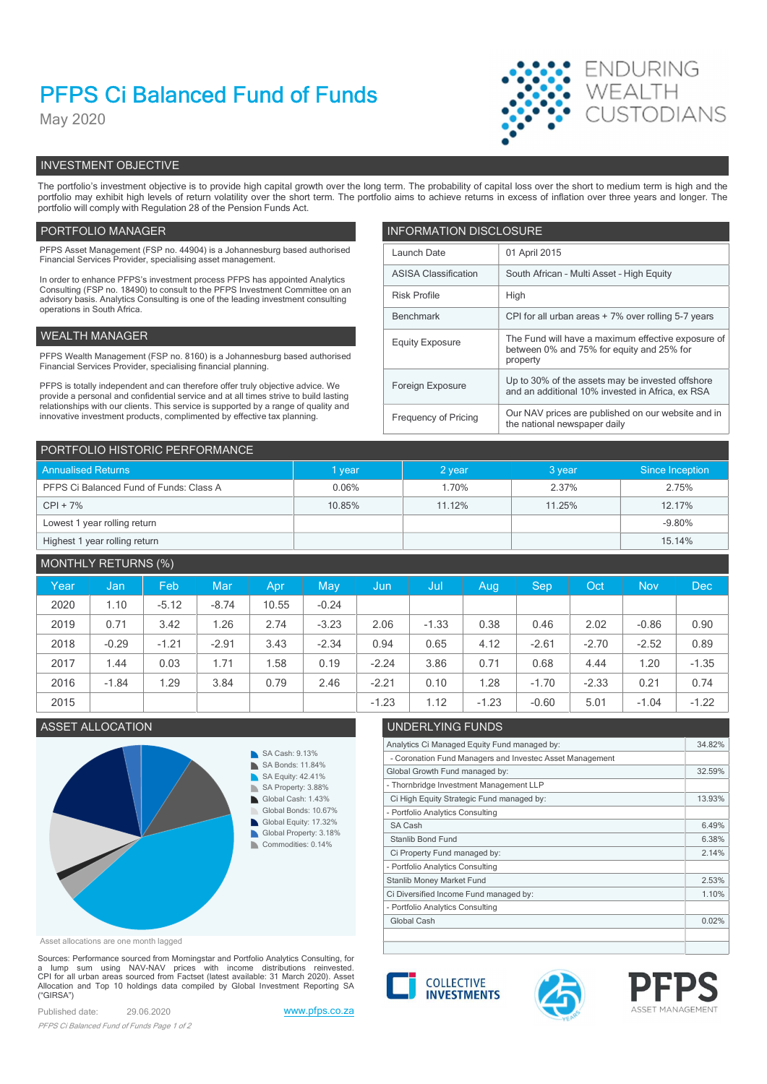# PFPS Ci Balanced Fund of Funds

May 2020



# INVESTMENT OBJECTIVE

The portfolio's investment objective is to provide high capital growth over the long term. The probability of capital loss over the short to medium term is high and the portfolio may exhibit high levels of return volatility over the short term. The portfolio aims to achieve returns in excess of inflation over three years and longer. The portfolio will comply with Regulation 28 of the Pension Funds Act.

# PORTFOLIO MANAGER **INFORMATION DISCLOSURE**

| PFPS Asset Management (FSP no. 44904) is a Johannesburg based authorised<br>Financial Services Provider, specialising asset management.                                | Launch Date                 | 01 April 2015                                                                                        |
|------------------------------------------------------------------------------------------------------------------------------------------------------------------------|-----------------------------|------------------------------------------------------------------------------------------------------|
| In order to enhance PFPS's investment process PFPS has appointed Analytics                                                                                             | <b>ASISA Classification</b> | South African - Multi Asset - High Equity                                                            |
| Consulting (FSP no. 18490) to consult to the PFPS Investment Committee on an<br>advisory basis. Analytics Consulting is one of the leading investment consulting       | <b>Risk Profile</b><br>High |                                                                                                      |
| operations in South Africa.                                                                                                                                            | Benchmark                   | CPI for all urban areas + 7% over rolling 5-7 years                                                  |
| WEALTH MANAGER                                                                                                                                                         | <b>Equity Exposure</b>      | The Fund will have a maximum effective exposure of                                                   |
| PFPS Wealth Management (FSP no. 8160) is a Johannesburg based authorised<br>Financial Services Provider, specialising financial planning.                              |                             | between 0% and 75% for equity and 25% for<br>property                                                |
| PFPS is totally independent and can therefore offer truly objective advice. We<br>provide a personal and confidential service and at all times strive to build lasting | Foreign Exposure            | Up to 30% of the assets may be invested offshore<br>and an additional 10% invested in Africa, ex RSA |
| relationships with our clients. This service is supported by a range of quality and<br>innovative investment products, complimented by effective tax planning.         | Frequency of Pricing        | Our NAV prices are published on our website and in<br>the national newspaper daily                   |

| PORTFOLIO HISTORIC PERFORMANCE          |        |          |        |                 |  |  |  |  |
|-----------------------------------------|--------|----------|--------|-----------------|--|--|--|--|
| <b>Annualised Returns</b>               | I year | $2$ year | 3 year | Since Inception |  |  |  |  |
| PFPS Ci Balanced Fund of Funds: Class A | 0.06%  | 1.70%    | 2.37%  | 2.75%           |  |  |  |  |
| $CPI + 7%$                              | 10.85% | 11.12%   | 11.25% | 12.17%          |  |  |  |  |
| Lowest 1 year rolling return            |        |          |        | $-9.80%$        |  |  |  |  |
| Highest 1 year rolling return           |        |          |        | 15.14%          |  |  |  |  |

# MONTHLY RETURNS (%)

| Year | Jan,    | Feb     | Mar     | Apr   | May     | /Jun    | / Jul   | Aug     | <b>Sep</b> | Oct <sup>'</sup> | <b>Nov</b> | Dec     |
|------|---------|---------|---------|-------|---------|---------|---------|---------|------------|------------------|------------|---------|
| 2020 | 1.10    | $-5.12$ | $-8.74$ | 10.55 | $-0.24$ |         |         |         |            |                  |            |         |
| 2019 | 0.71    | 3.42    | 1.26    | 2.74  | $-3.23$ | 2.06    | $-1.33$ | 0.38    | 0.46       | 2.02             | $-0.86$    | 0.90    |
| 2018 | $-0.29$ | $-1.21$ | $-2.91$ | 3.43  | $-2.34$ | 0.94    | 0.65    | 4.12    | $-2.61$    | $-2.70$          | $-2.52$    | 0.89    |
| 2017 | 1.44    | 0.03    | 1.71    | .58   | 0.19    | $-2.24$ | 3.86    | 0.71    | 0.68       | 4.44             | 1.20       | $-1.35$ |
| 2016 | $-1.84$ | .29     | 3.84    | 0.79  | 2.46    | $-2.21$ | 0.10    | 1.28    | $-1.70$    | $-2.33$          | 0.21       | 0.74    |
| 2015 |         |         |         |       |         | $-1.23$ | 1.12    | $-1.23$ | $-0.60$    | 5.01             | $-1.04$    | $-1.22$ |

# ASSET ALLOCATION UNDERLYING FUNDS



Asset allocations are one month lagged

Sources: Performance sourced from Morningstar and Portfolio Analytics Consulting, for<br>a \_ lump \_ sum \_ using \_NAV-NAV\_\_ prices\_\_with\_income\_\_distributions\_\_reinvested.<br>CPI for all urban areas sourced from Factset (latest CPI for all urban areas sourced from Factset (latest available: 3.1 March 2020). Asset<br>Allocation and Top 10 holdings data compiled by Global Investment Reporting SA **COLLECTIVE INVESTMENTS** ("GIRSA")

Published date: 29.06.2020 www.pfps.co.za PFPS Ci Balanced Fund of Funds Page 1 of 2





Analytics Ci Managed Equity Fund managed by: 34.82%

Global Growth Fund managed by: 32.59%

Ci High Equity Strategic Fund managed by: 13.93%

Ci Property Fund managed by: 2.14%

Ci Diversified Income Fund managed by: 1.10% Stanlib Money Market Fund 2.53%

- Coronation Fund Managers and Investec Asset Management

- Thornbridge Investment Management LLP

- Portfolio Analytics Consulting

Portfolio Analytics Consulting

- Portfolio Analytics Consulting



 $S$ A Cash 6.49% Stanlib Bond Fund 6.38%

Global Cash 0.02%